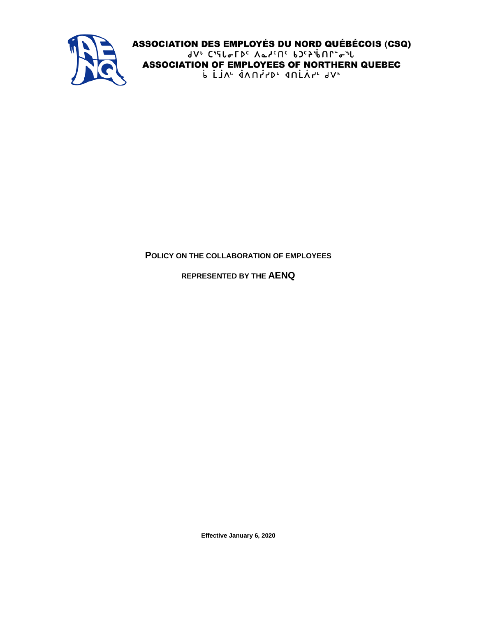

**ASSOCIATION DES EMPLOYÉS DU NORD QUÉBÉCOIS (CSQ)** 91. CidraLDc VercUc PJcSiPUL. a.f **ASSOCIATION OF EMPLOYEES OF NORTHERN QUEBEC** P FIV<sub>r</sub> qVUttbr dUFYL 91,

## **POLICY ON THE COLLABORATION OF EMPLOYEES**

**REPRESENTED BY THE AENQ**

**Effective January 6, 2020**